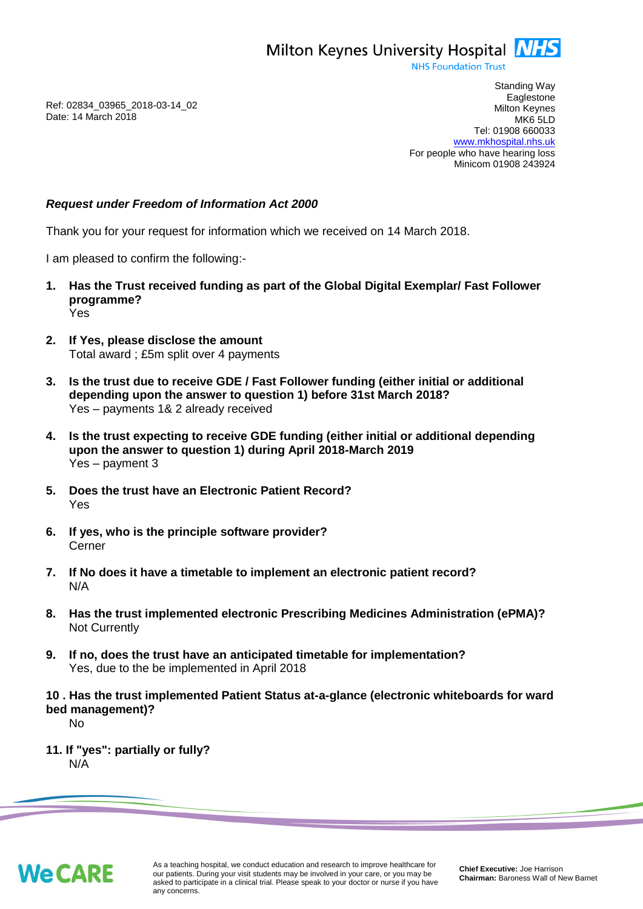Milton Keynes University Hospital **NHS** 

**NHS Foundation Trust** 

Ref: 02834\_03965\_2018-03-14\_02 Date: 14 March 2018

Standing Way **Eaglestone** Milton Keynes MK6 5LD Tel: 01908 660033 [www.mkhospital.nhs.uk](http://www.mkhospital.nhs.uk/) For people who have hearing loss Minicom 01908 243924

## *Request under Freedom of Information Act 2000*

Thank you for your request for information which we received on 14 March 2018.

I am pleased to confirm the following:-

- **1. Has the Trust received funding as part of the Global Digital Exemplar/ Fast Follower programme?** Yes
- **2. If Yes, please disclose the amount** Total award ; £5m split over 4 payments
- **3. Is the trust due to receive GDE / Fast Follower funding (either initial or additional depending upon the answer to question 1) before 31st March 2018?** Yes – payments 1& 2 already received
- **4. Is the trust expecting to receive GDE funding (either initial or additional depending upon the answer to question 1) during April 2018-March 2019** Yes – payment 3
- **5. Does the trust have an Electronic Patient Record?** Yes
- **6. If yes, who is the principle software provider?** Cerner
- **7. If No does it have a timetable to implement an electronic patient record?** N/A
- **8. Has the trust implemented electronic Prescribing Medicines Administration (ePMA)?** Not Currently
- **9. If no, does the trust have an anticipated timetable for implementation?** Yes, due to the be implemented in April 2018
- **10 . Has the trust implemented Patient Status at-a-glance (electronic whiteboards for ward bed management)?**

No

**11. If "yes": partially or fully?** N/A